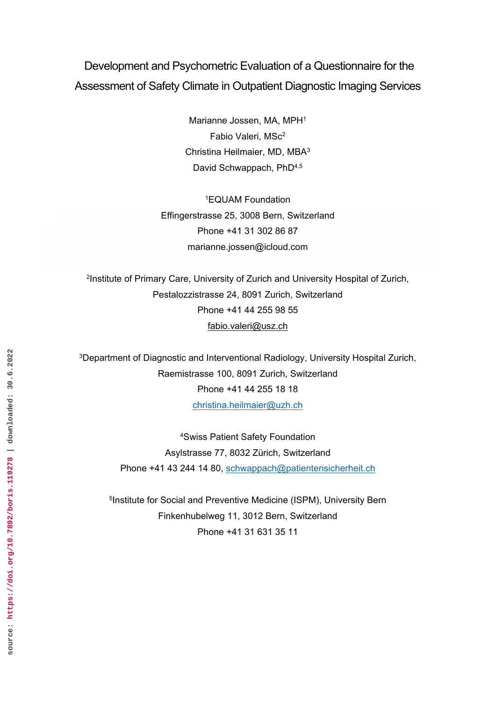# Development and Psychometric Evaluation of a Questionnaire for the Assessment of Safety Climate in Outpatient Diagnostic Imaging Services

Marianne Jossen, MA, MPH1 Fabio Valeri, MSc2 Christina Heilmaier, MD, MBA3 David Schwappach, PhD<sup>4,5</sup>

1EQUAM Foundation Effingerstrasse 25, 3008 Bern, Switzerland Phone +41 31 302 86 87 marianne.jossen@icloud.com

2Institute of Primary Care, University of Zurich and University Hospital of Zurich, Pestalozzistrasse 24, 8091 Zurich, Switzerland Phone +41 44 255 98 55 fabio.valeri@usz.ch

3Department of Diagnostic and Interventional Radiology, University Hospital Zurich, Raemistrasse 100, 8091 Zurich, Switzerland Phone +41 44 255 18 18 christina.heilmaier@uzh.ch

> 4Swiss Patient Safety Foundation Asylstrasse 77, 8032 Zürich, Switzerland Phone +41 43 244 14 80, schwappach@patientensicherheit.ch

5Institute for Social and Preventive Medicine (ISPM), University Bern Finkenhubelweg 11, 3012 Bern, Switzerland Phone +41 31 631 35 11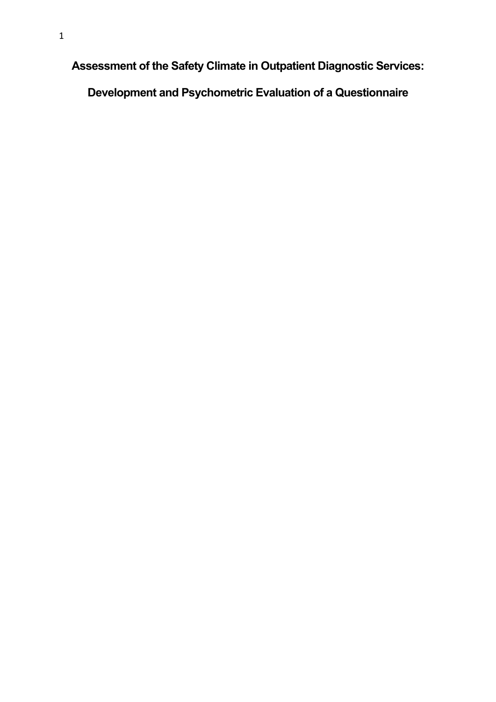**Assessment of the Safety Climate in Outpatient Diagnostic Services:** 

**Development and Psychometric Evaluation of a Questionnaire**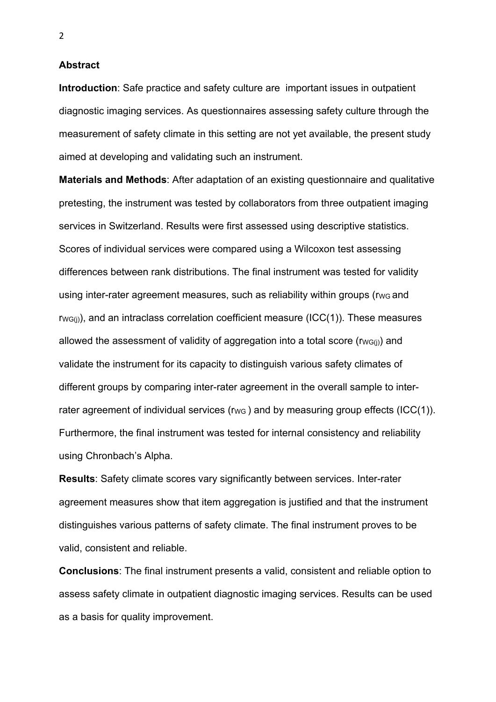**Abstract** 

**Introduction**: Safe practice and safety culture are important issues in outpatient diagnostic imaging services. As questionnaires assessing safety culture through the measurement of safety climate in this setting are not yet available, the present study aimed at developing and validating such an instrument.

**Materials and Methods**: After adaptation of an existing questionnaire and qualitative pretesting, the instrument was tested by collaborators from three outpatient imaging services in Switzerland. Results were first assessed using descriptive statistics. Scores of individual services were compared using a Wilcoxon test assessing differences between rank distributions. The final instrument was tested for validity using inter-rater agreement measures, such as reliability within groups (rwg and  $r_{WG(i)}$ , and an intraclass correlation coefficient measure (ICC(1)). These measures allowed the assessment of validity of aggregation into a total score ( $rw_{G(i)}$ ) and validate the instrument for its capacity to distinguish various safety climates of different groups by comparing inter-rater agreement in the overall sample to interrater agreement of individual services (rw $<sub>G</sub>$ ) and by measuring group effects (ICC(1)).</sub> Furthermore, the final instrument was tested for internal consistency and reliability using Chronbach's Alpha.

**Results**: Safety climate scores vary significantly between services. Inter-rater agreement measures show that item aggregation is justified and that the instrument distinguishes various patterns of safety climate. The final instrument proves to be valid, consistent and reliable.

**Conclusions**: The final instrument presents a valid, consistent and reliable option to assess safety climate in outpatient diagnostic imaging services. Results can be used as a basis for quality improvement.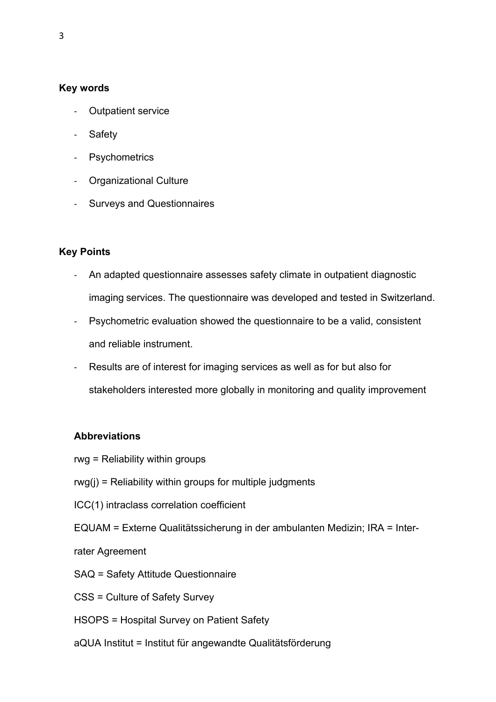# **Key words**

- ‐ Outpatient service
- ‐ Safety
- ‐ Psychometrics
- ‐ Organizational Culture
- ‐ Surveys and Questionnaires

# **Key Points**

- ‐ An adapted questionnaire assesses safety climate in outpatient diagnostic imaging services. The questionnaire was developed and tested in Switzerland.
- ‐ Psychometric evaluation showed the questionnaire to be a valid, consistent and reliable instrument.
- ‐ Results are of interest for imaging services as well as for but also for stakeholders interested more globally in monitoring and quality improvement

# **Abbreviations**

- rwg = Reliability within groups
- rwg(j) = Reliability within groups for multiple judgments
- ICC(1) intraclass correlation coefficient
- EQUAM = Externe Qualitätssicherung in der ambulanten Medizin; IRA = Inter-

rater Agreement

SAQ = Safety Attitude Questionnaire

- CSS = Culture of Safety Survey
- HSOPS = Hospital Survey on Patient Safety
- aQUA Institut = Institut für angewandte Qualitätsförderung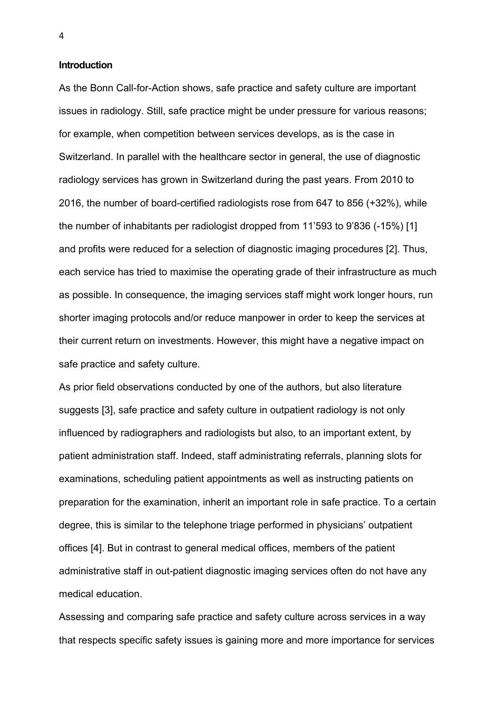#### **Introduction**

As the Bonn Call-for-Action shows, safe practice and safety culture are important issues in radiology. Still, safe practice might be under pressure for various reasons; for example, when competition between services develops, as is the case in Switzerland. In parallel with the healthcare sector in general, the use of diagnostic radiology services has grown in Switzerland during the past years. From 2010 to 2016, the number of board-certified radiologists rose from 647 to 856 (+32%), while the number of inhabitants per radiologist dropped from 11'593 to 9'836 (-15%) [1] and profits were reduced for a selection of diagnostic imaging procedures [2]. Thus, each service has tried to maximise the operating grade of their infrastructure as much as possible. In consequence, the imaging services staff might work longer hours, run shorter imaging protocols and/or reduce manpower in order to keep the services at their current return on investments. However, this might have a negative impact on safe practice and safety culture.

As prior field observations conducted by one of the authors, but also literature suggests [3], safe practice and safety culture in outpatient radiology is not only influenced by radiographers and radiologists but also, to an important extent, by patient administration staff. Indeed, staff administrating referrals, planning slots for examinations, scheduling patient appointments as well as instructing patients on preparation for the examination, inherit an important role in safe practice. To a certain degree, this is similar to the telephone triage performed in physicians' outpatient offices [4]. But in contrast to general medical offices, members of the patient administrative staff in out-patient diagnostic imaging services often do not have any medical education.

Assessing and comparing safe practice and safety culture across services in a way that respects specific safety issues is gaining more and more importance for services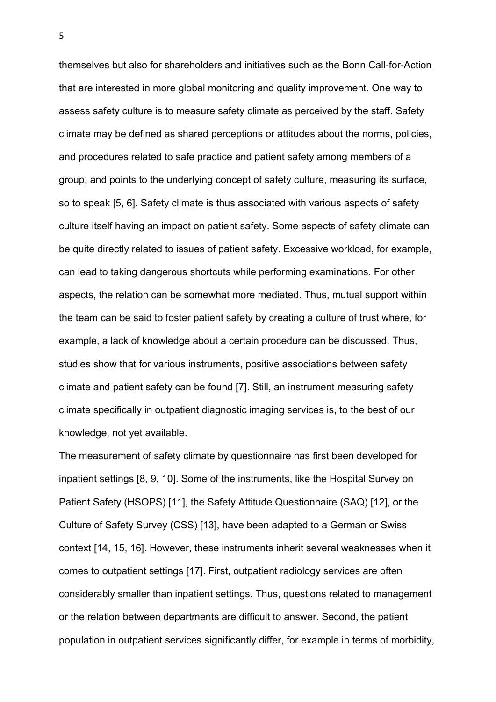themselves but also for shareholders and initiatives such as the Bonn Call-for-Action that are interested in more global monitoring and quality improvement. One way to assess safety culture is to measure safety climate as perceived by the staff. Safety climate may be defined as shared perceptions or attitudes about the norms, policies, and procedures related to safe practice and patient safety among members of a group, and points to the underlying concept of safety culture, measuring its surface, so to speak [5, 6]. Safety climate is thus associated with various aspects of safety culture itself having an impact on patient safety. Some aspects of safety climate can be quite directly related to issues of patient safety. Excessive workload, for example, can lead to taking dangerous shortcuts while performing examinations. For other aspects, the relation can be somewhat more mediated. Thus, mutual support within the team can be said to foster patient safety by creating a culture of trust where, for example, a lack of knowledge about a certain procedure can be discussed. Thus, studies show that for various instruments, positive associations between safety climate and patient safety can be found [7]. Still, an instrument measuring safety climate specifically in outpatient diagnostic imaging services is, to the best of our knowledge, not yet available.

The measurement of safety climate by questionnaire has first been developed for inpatient settings [8, 9, 10]. Some of the instruments, like the Hospital Survey on Patient Safety (HSOPS) [11], the Safety Attitude Questionnaire (SAQ) [12], or the Culture of Safety Survey (CSS) [13], have been adapted to a German or Swiss context [14, 15, 16]. However, these instruments inherit several weaknesses when it comes to outpatient settings [17]. First, outpatient radiology services are often considerably smaller than inpatient settings. Thus, questions related to management or the relation between departments are difficult to answer. Second, the patient population in outpatient services significantly differ, for example in terms of morbidity,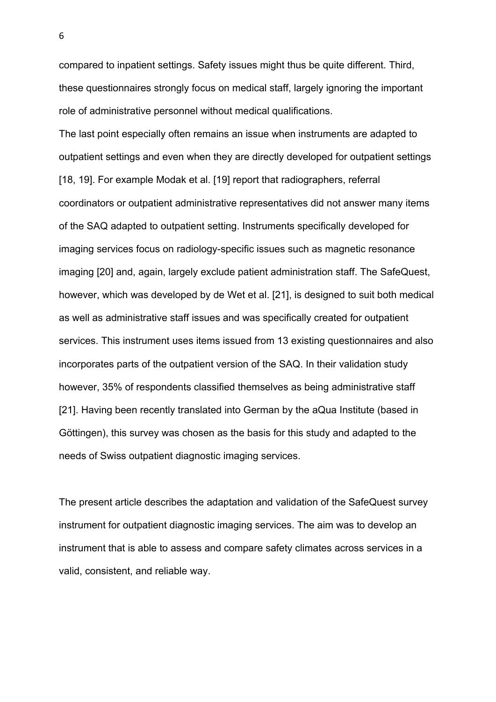compared to inpatient settings. Safety issues might thus be quite different. Third, these questionnaires strongly focus on medical staff, largely ignoring the important role of administrative personnel without medical qualifications.

The last point especially often remains an issue when instruments are adapted to outpatient settings and even when they are directly developed for outpatient settings [18, 19]. For example Modak et al. [19] report that radiographers, referral coordinators or outpatient administrative representatives did not answer many items of the SAQ adapted to outpatient setting. Instruments specifically developed for imaging services focus on radiology-specific issues such as magnetic resonance imaging [20] and, again, largely exclude patient administration staff. The SafeQuest, however, which was developed by de Wet et al. [21], is designed to suit both medical as well as administrative staff issues and was specifically created for outpatient services. This instrument uses items issued from 13 existing questionnaires and also incorporates parts of the outpatient version of the SAQ. In their validation study however, 35% of respondents classified themselves as being administrative staff [21]. Having been recently translated into German by the aQua Institute (based in Göttingen), this survey was chosen as the basis for this study and adapted to the needs of Swiss outpatient diagnostic imaging services.

The present article describes the adaptation and validation of the SafeQuest survey instrument for outpatient diagnostic imaging services. The aim was to develop an instrument that is able to assess and compare safety climates across services in a valid, consistent, and reliable way.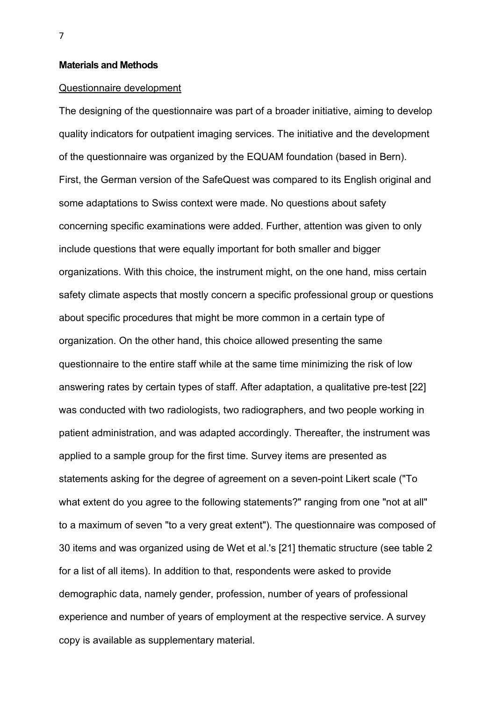### **Materials and Methods**

#### Questionnaire development

The designing of the questionnaire was part of a broader initiative, aiming to develop quality indicators for outpatient imaging services. The initiative and the development of the questionnaire was organized by the EQUAM foundation (based in Bern). First, the German version of the SafeQuest was compared to its English original and some adaptations to Swiss context were made. No questions about safety concerning specific examinations were added. Further, attention was given to only include questions that were equally important for both smaller and bigger organizations. With this choice, the instrument might, on the one hand, miss certain safety climate aspects that mostly concern a specific professional group or questions about specific procedures that might be more common in a certain type of organization. On the other hand, this choice allowed presenting the same questionnaire to the entire staff while at the same time minimizing the risk of low answering rates by certain types of staff. After adaptation, a qualitative pre-test [22] was conducted with two radiologists, two radiographers, and two people working in patient administration, and was adapted accordingly. Thereafter, the instrument was applied to a sample group for the first time. Survey items are presented as statements asking for the degree of agreement on a seven-point Likert scale ("To what extent do you agree to the following statements?" ranging from one "not at all" to a maximum of seven "to a very great extent"). The questionnaire was composed of 30 items and was organized using de Wet et al.'s [21] thematic structure (see table 2 for a list of all items). In addition to that, respondents were asked to provide demographic data, namely gender, profession, number of years of professional experience and number of years of employment at the respective service. A survey copy is available as supplementary material.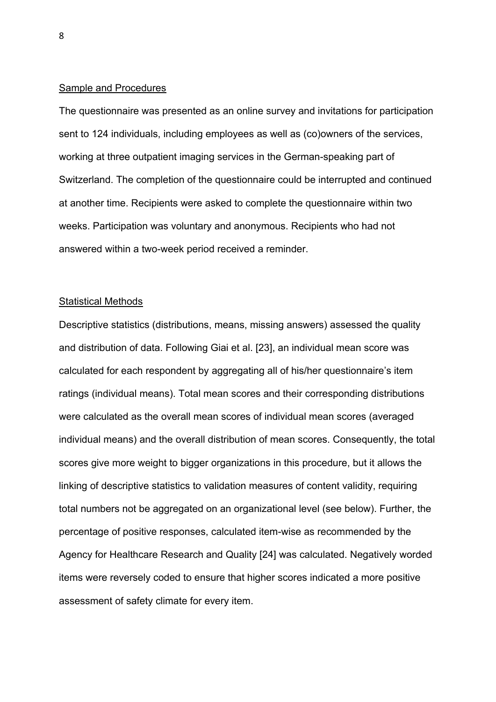### Sample and Procedures

The questionnaire was presented as an online survey and invitations for participation sent to 124 individuals, including employees as well as (co)owners of the services, working at three outpatient imaging services in the German-speaking part of Switzerland. The completion of the questionnaire could be interrupted and continued at another time. Recipients were asked to complete the questionnaire within two weeks. Participation was voluntary and anonymous. Recipients who had not answered within a two-week period received a reminder.

#### Statistical Methods

Descriptive statistics (distributions, means, missing answers) assessed the quality and distribution of data. Following Giai et al. [23], an individual mean score was calculated for each respondent by aggregating all of his/her questionnaire's item ratings (individual means). Total mean scores and their corresponding distributions were calculated as the overall mean scores of individual mean scores (averaged individual means) and the overall distribution of mean scores. Consequently, the total scores give more weight to bigger organizations in this procedure, but it allows the linking of descriptive statistics to validation measures of content validity, requiring total numbers not be aggregated on an organizational level (see below). Further, the percentage of positive responses, calculated item-wise as recommended by the Agency for Healthcare Research and Quality [24] was calculated. Negatively worded items were reversely coded to ensure that higher scores indicated a more positive assessment of safety climate for every item.

8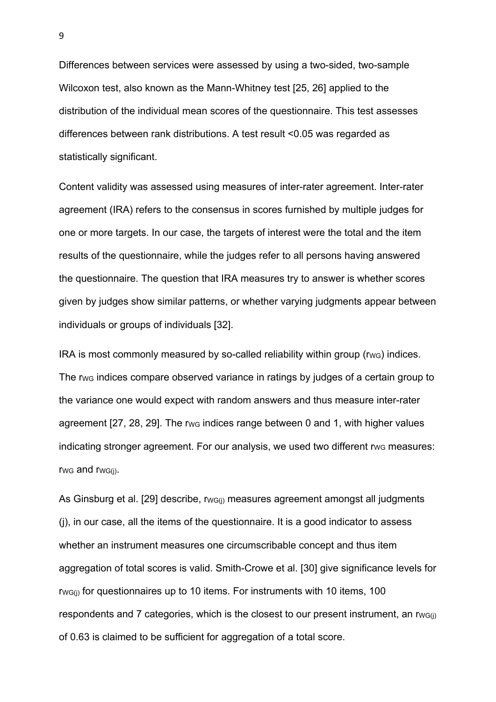Differences between services were assessed by using a two-sided, two-sample Wilcoxon test, also known as the Mann-Whitney test [25, 26] applied to the distribution of the individual mean scores of the questionnaire. This test assesses differences between rank distributions. A test result <0.05 was regarded as statistically significant.

Content validity was assessed using measures of inter-rater agreement. Inter-rater agreement (IRA) refers to the consensus in scores furnished by multiple judges for one or more targets. In our case, the targets of interest were the total and the item results of the questionnaire, while the judges refer to all persons having answered the questionnaire. The question that IRA measures try to answer is whether scores given by judges show similar patterns, or whether varying judgments appear between individuals or groups of individuals [32].

IRA is most commonly measured by so-called reliability within group ( $rw<sub>G</sub>$ ) indices. The r<sub>WG</sub> indices compare observed variance in ratings by judges of a certain group to the variance one would expect with random answers and thus measure inter-rater agreement [27, 28, 29]. The rwg indices range between 0 and 1, with higher values indicating stronger agreement. For our analysis, we used two different rwg measures: rwg and rwg(i).

As Ginsburg et al. [29] describe, rw<sub>G(i)</sub> measures agreement amongst all judgments (j), in our case, all the items of the questionnaire. It is a good indicator to assess whether an instrument measures one circumscribable concept and thus item aggregation of total scores is valid. Smith-Crowe et al. [30] give significance levels for rw<sub>G(i)</sub> for questionnaires up to 10 items. For instruments with 10 items, 100 respondents and 7 categories, which is the closest to our present instrument, an rw $G(i)$ of 0.63 is claimed to be sufficient for aggregation of a total score.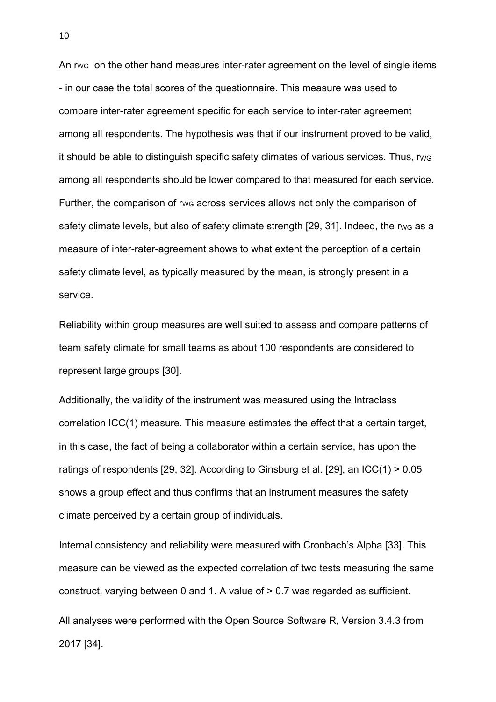An rwg on the other hand measures inter-rater agreement on the level of single items - in our case the total scores of the questionnaire. This measure was used to compare inter-rater agreement specific for each service to inter-rater agreement among all respondents. The hypothesis was that if our instrument proved to be valid, it should be able to distinguish specific safety climates of various services. Thus, rwg among all respondents should be lower compared to that measured for each service. Further, the comparison of r<sub>WG</sub> across services allows not only the comparison of safety climate levels, but also of safety climate strength [29, 31]. Indeed, the rwg as a measure of inter-rater-agreement shows to what extent the perception of a certain safety climate level, as typically measured by the mean, is strongly present in a service.

Reliability within group measures are well suited to assess and compare patterns of team safety climate for small teams as about 100 respondents are considered to represent large groups [30].

Additionally, the validity of the instrument was measured using the Intraclass correlation ICC(1) measure. This measure estimates the effect that a certain target, in this case, the fact of being a collaborator within a certain service, has upon the ratings of respondents [29, 32]. According to Ginsburg et al. [29], an  $ICC(1) > 0.05$ shows a group effect and thus confirms that an instrument measures the safety climate perceived by a certain group of individuals.

Internal consistency and reliability were measured with Cronbach's Alpha [33]. This measure can be viewed as the expected correlation of two tests measuring the same construct, varying between 0 and 1. A value of > 0.7 was regarded as sufficient.

All analyses were performed with the Open Source Software R, Version 3.4.3 from 2017 [34].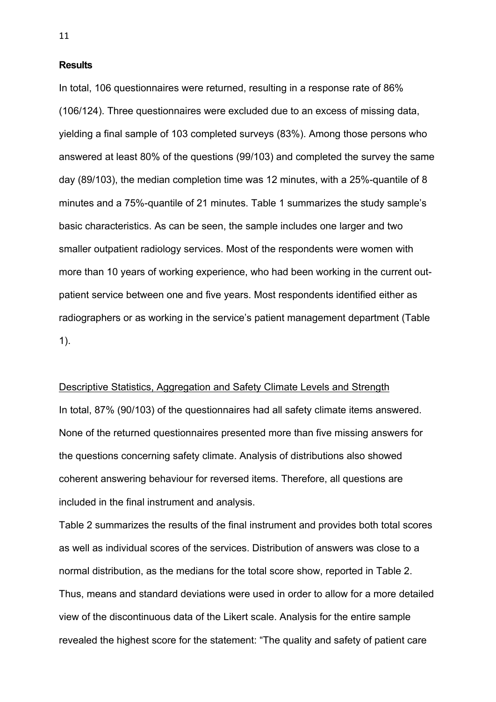#### **Results**

In total, 106 questionnaires were returned, resulting in a response rate of 86% (106/124). Three questionnaires were excluded due to an excess of missing data, yielding a final sample of 103 completed surveys (83%). Among those persons who answered at least 80% of the questions (99/103) and completed the survey the same day (89/103), the median completion time was 12 minutes, with a 25%-quantile of 8 minutes and a 75%-quantile of 21 minutes. Table 1 summarizes the study sample's basic characteristics. As can be seen, the sample includes one larger and two smaller outpatient radiology services. Most of the respondents were women with more than 10 years of working experience, who had been working in the current outpatient service between one and five years. Most respondents identified either as radiographers or as working in the service's patient management department (Table 1).

### Descriptive Statistics, Aggregation and Safety Climate Levels and Strength

In total, 87% (90/103) of the questionnaires had all safety climate items answered. None of the returned questionnaires presented more than five missing answers for the questions concerning safety climate. Analysis of distributions also showed coherent answering behaviour for reversed items. Therefore, all questions are included in the final instrument and analysis.

Table 2 summarizes the results of the final instrument and provides both total scores as well as individual scores of the services. Distribution of answers was close to a normal distribution, as the medians for the total score show, reported in Table 2. Thus, means and standard deviations were used in order to allow for a more detailed view of the discontinuous data of the Likert scale. Analysis for the entire sample revealed the highest score for the statement: "The quality and safety of patient care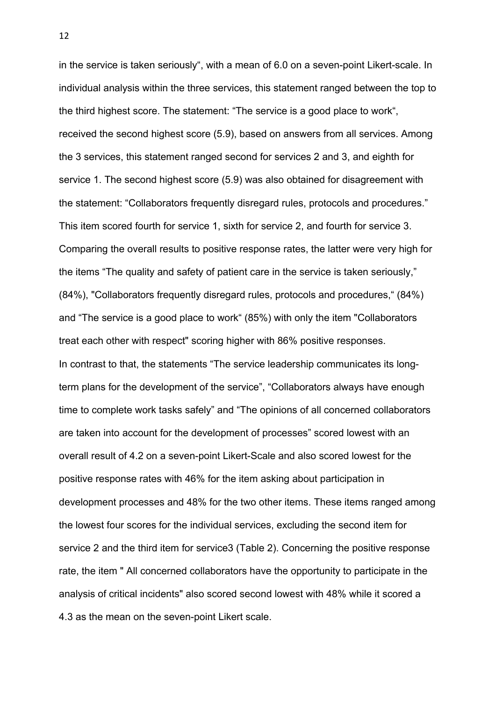in the service is taken seriously", with a mean of 6.0 on a seven-point Likert-scale. In individual analysis within the three services, this statement ranged between the top to the third highest score. The statement: "The service is a good place to work", received the second highest score (5.9), based on answers from all services. Among the 3 services, this statement ranged second for services 2 and 3, and eighth for service 1. The second highest score (5.9) was also obtained for disagreement with the statement: "Collaborators frequently disregard rules, protocols and procedures." This item scored fourth for service 1, sixth for service 2, and fourth for service 3. Comparing the overall results to positive response rates, the latter were very high for the items "The quality and safety of patient care in the service is taken seriously," (84%), "Collaborators frequently disregard rules, protocols and procedures," (84%) and "The service is a good place to work" (85%) with only the item "Collaborators treat each other with respect" scoring higher with 86% positive responses. In contrast to that, the statements "The service leadership communicates its longterm plans for the development of the service", "Collaborators always have enough time to complete work tasks safely" and "The opinions of all concerned collaborators are taken into account for the development of processes" scored lowest with an overall result of 4.2 on a seven-point Likert-Scale and also scored lowest for the positive response rates with 46% for the item asking about participation in development processes and 48% for the two other items. These items ranged among the lowest four scores for the individual services, excluding the second item for service 2 and the third item for service3 (Table 2). Concerning the positive response rate, the item " All concerned collaborators have the opportunity to participate in the analysis of critical incidents" also scored second lowest with 48% while it scored a 4.3 as the mean on the seven-point Likert scale.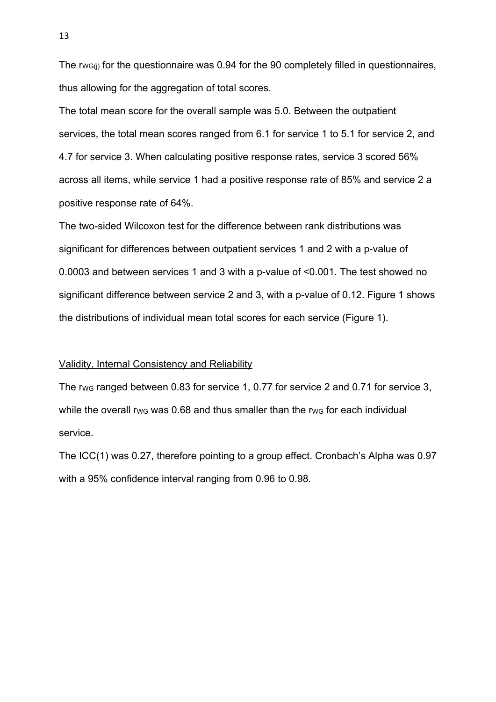The rw<sub>G(i)</sub> for the questionnaire was 0.94 for the 90 completely filled in questionnaires, thus allowing for the aggregation of total scores.

The total mean score for the overall sample was 5.0. Between the outpatient services, the total mean scores ranged from 6.1 for service 1 to 5.1 for service 2, and 4.7 for service 3. When calculating positive response rates, service 3 scored 56% across all items, while service 1 had a positive response rate of 85% and service 2 a positive response rate of 64%.

The two-sided Wilcoxon test for the difference between rank distributions was significant for differences between outpatient services 1 and 2 with a p-value of 0.0003 and between services 1 and 3 with a p-value of <0.001. The test showed no significant difference between service 2 and 3, with a p-value of 0.12. Figure 1 shows the distributions of individual mean total scores for each service (Figure 1).

## Validity, Internal Consistency and Reliability

The rwg ranged between 0.83 for service 1, 0.77 for service 2 and 0.71 for service 3, while the overall rwg was 0.68 and thus smaller than the rwg for each individual service.

The ICC(1) was 0.27, therefore pointing to a group effect. Cronbach's Alpha was 0.97 with a 95% confidence interval ranging from 0.96 to 0.98.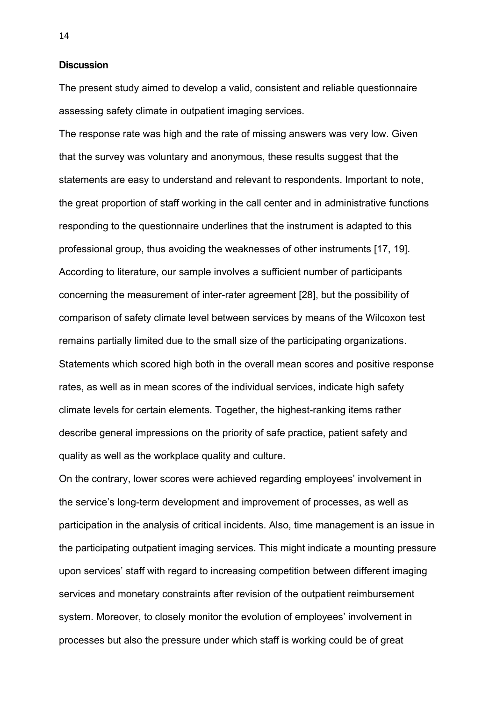**Discussion** 

The present study aimed to develop a valid, consistent and reliable questionnaire assessing safety climate in outpatient imaging services.

The response rate was high and the rate of missing answers was very low. Given that the survey was voluntary and anonymous, these results suggest that the statements are easy to understand and relevant to respondents. Important to note, the great proportion of staff working in the call center and in administrative functions responding to the questionnaire underlines that the instrument is adapted to this professional group, thus avoiding the weaknesses of other instruments [17, 19]. According to literature, our sample involves a sufficient number of participants concerning the measurement of inter-rater agreement [28], but the possibility of comparison of safety climate level between services by means of the Wilcoxon test remains partially limited due to the small size of the participating organizations. Statements which scored high both in the overall mean scores and positive response rates, as well as in mean scores of the individual services, indicate high safety climate levels for certain elements. Together, the highest-ranking items rather describe general impressions on the priority of safe practice, patient safety and quality as well as the workplace quality and culture.

On the contrary, lower scores were achieved regarding employees' involvement in the service's long-term development and improvement of processes, as well as participation in the analysis of critical incidents. Also, time management is an issue in the participating outpatient imaging services. This might indicate a mounting pressure upon services' staff with regard to increasing competition between different imaging services and monetary constraints after revision of the outpatient reimbursement system. Moreover, to closely monitor the evolution of employees' involvement in processes but also the pressure under which staff is working could be of great

14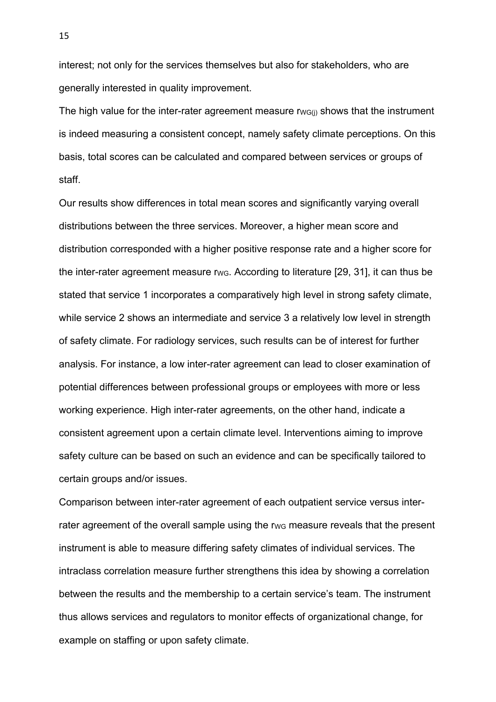interest; not only for the services themselves but also for stakeholders, who are generally interested in quality improvement.

The high value for the inter-rater agreement measure  $r_{WG(i)}$  shows that the instrument is indeed measuring a consistent concept, namely safety climate perceptions. On this basis, total scores can be calculated and compared between services or groups of staff.

Our results show differences in total mean scores and significantly varying overall distributions between the three services. Moreover, a higher mean score and distribution corresponded with a higher positive response rate and a higher score for the inter-rater agreement measure rwg. According to literature [29, 31], it can thus be stated that service 1 incorporates a comparatively high level in strong safety climate, while service 2 shows an intermediate and service 3 a relatively low level in strength of safety climate. For radiology services, such results can be of interest for further analysis. For instance, a low inter-rater agreement can lead to closer examination of potential differences between professional groups or employees with more or less working experience. High inter-rater agreements, on the other hand, indicate a consistent agreement upon a certain climate level. Interventions aiming to improve safety culture can be based on such an evidence and can be specifically tailored to certain groups and/or issues.

Comparison between inter-rater agreement of each outpatient service versus interrater agreement of the overall sample using the rwg measure reveals that the present instrument is able to measure differing safety climates of individual services. The intraclass correlation measure further strengthens this idea by showing a correlation between the results and the membership to a certain service's team. The instrument thus allows services and regulators to monitor effects of organizational change, for example on staffing or upon safety climate.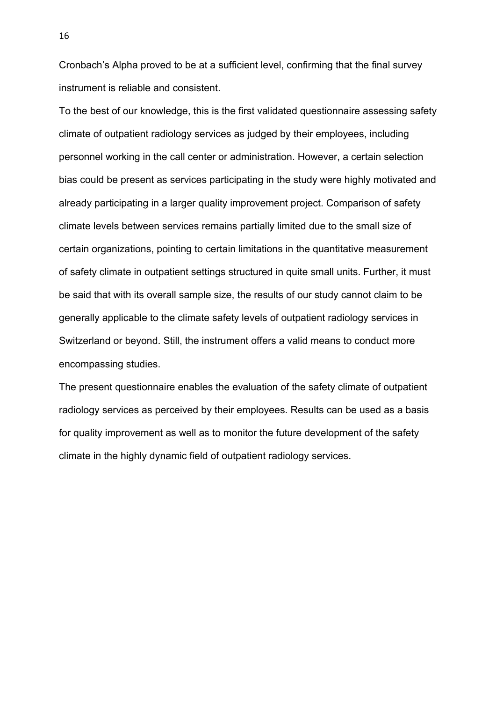Cronbach's Alpha proved to be at a sufficient level, confirming that the final survey instrument is reliable and consistent.

To the best of our knowledge, this is the first validated questionnaire assessing safety climate of outpatient radiology services as judged by their employees, including personnel working in the call center or administration. However, a certain selection bias could be present as services participating in the study were highly motivated and already participating in a larger quality improvement project. Comparison of safety climate levels between services remains partially limited due to the small size of certain organizations, pointing to certain limitations in the quantitative measurement of safety climate in outpatient settings structured in quite small units. Further, it must be said that with its overall sample size, the results of our study cannot claim to be generally applicable to the climate safety levels of outpatient radiology services in Switzerland or beyond. Still, the instrument offers a valid means to conduct more encompassing studies.

The present questionnaire enables the evaluation of the safety climate of outpatient radiology services as perceived by their employees. Results can be used as a basis for quality improvement as well as to monitor the future development of the safety climate in the highly dynamic field of outpatient radiology services.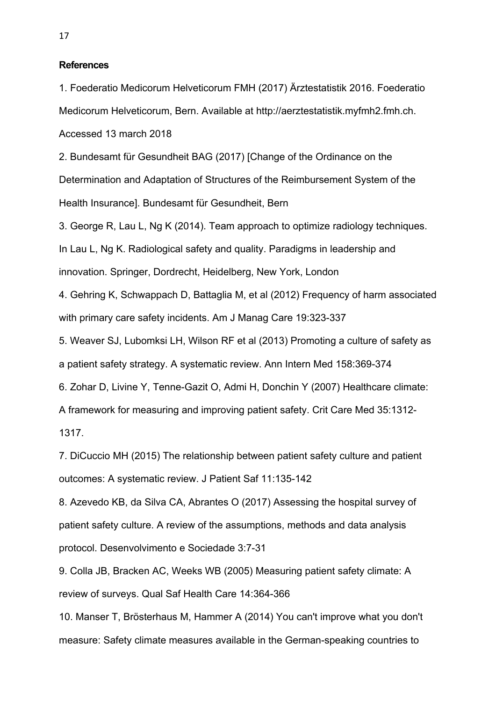**References** 

1. Foederatio Medicorum Helveticorum FMH (2017) Ärztestatistik 2016. Foederatio Medicorum Helveticorum, Bern. Available at http://aerztestatistik.myfmh2.fmh.ch. Accessed 13 march 2018

2. Bundesamt für Gesundheit BAG (2017) [Change of the Ordinance on the Determination and Adaptation of Structures of the Reimbursement System of the Health Insurance]. Bundesamt für Gesundheit, Bern

3. George R, Lau L, Ng K (2014). Team approach to optimize radiology techniques. In Lau L, Ng K. Radiological safety and quality. Paradigms in leadership and innovation. Springer, Dordrecht, Heidelberg, New York, London

4. Gehring K, Schwappach D, Battaglia M, et al (2012) Frequency of harm associated with primary care safety incidents. Am J Manag Care 19:323-337

5. Weaver SJ, Lubomksi LH, Wilson RF et al (2013) Promoting a culture of safety as a patient safety strategy. A systematic review. Ann Intern Med 158:369-374

6. Zohar D, Livine Y, Tenne-Gazit O, Admi H, Donchin Y (2007) Healthcare climate:

A framework for measuring and improving patient safety. Crit Care Med 35:1312-

1317.

7. DiCuccio MH (2015) The relationship between patient safety culture and patient outcomes: A systematic review. J Patient Saf 11:135-142

8. Azevedo KB, da Silva CA, Abrantes O (2017) Assessing the hospital survey of patient safety culture. A review of the assumptions, methods and data analysis protocol. Desenvolvimento e Sociedade 3:7-31

9. Colla JB, Bracken AC, Weeks WB (2005) Measuring patient safety climate: A review of surveys. Qual Saf Health Care 14:364-366

10. Manser T, Brösterhaus M, Hammer A (2014) You can't improve what you don't measure: Safety climate measures available in the German-speaking countries to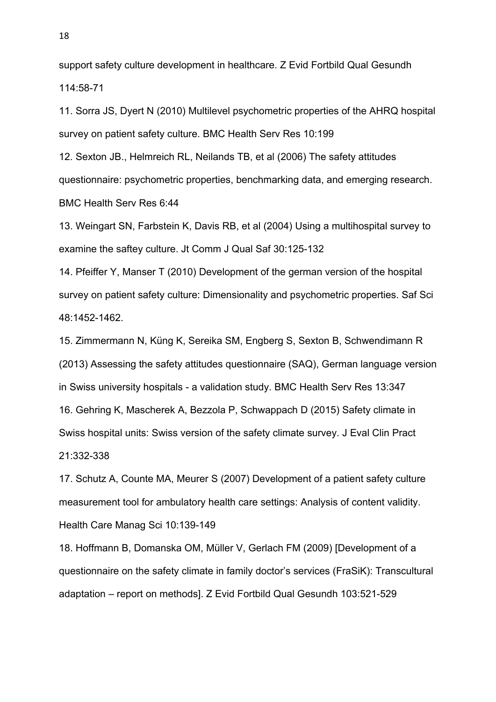support safety culture development in healthcare. Z Evid Fortbild Qual Gesundh 114:58-71

11. Sorra JS, Dyert N (2010) Multilevel psychometric properties of the AHRQ hospital survey on patient safety culture. BMC Health Serv Res 10:199

12. Sexton JB., Helmreich RL, Neilands TB, et al (2006) The safety attitudes questionnaire: psychometric properties, benchmarking data, and emerging research. BMC Health Serv Res 6:44

13. Weingart SN, Farbstein K, Davis RB, et al (2004) Using a multihospital survey to examine the saftey culture. Jt Comm J Qual Saf 30:125-132

14. Pfeiffer Y, Manser T (2010) Development of the german version of the hospital survey on patient safety culture: Dimensionality and psychometric properties. Saf Sci 48:1452-1462.

15. Zimmermann N, Küng K, Sereika SM, Engberg S, Sexton B, Schwendimann R (2013) Assessing the safety attitudes questionnaire (SAQ), German language version in Swiss university hospitals - a validation study. BMC Health Serv Res 13:347 16. Gehring K, Mascherek A, Bezzola P, Schwappach D (2015) Safety climate in Swiss hospital units: Swiss version of the safety climate survey. J Eval Clin Pract 21:332-338

17. Schutz A, Counte MA, Meurer S (2007) Development of a patient safety culture measurement tool for ambulatory health care settings: Analysis of content validity. Health Care Manag Sci 10:139-149

18. Hoffmann B, Domanska OM, Müller V, Gerlach FM (2009) [Development of a questionnaire on the safety climate in family doctor's services (FraSiK): Transcultural adaptation – report on methods]. Z Evid Fortbild Qual Gesundh 103:521-529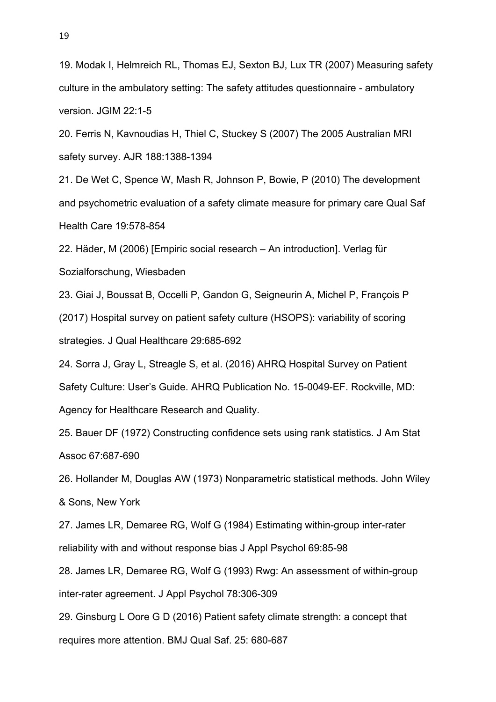19. Modak I, Helmreich RL, Thomas EJ, Sexton BJ, Lux TR (2007) Measuring safety culture in the ambulatory setting: The safety attitudes questionnaire - ambulatory version. JGIM 22:1-5

20. Ferris N, Kavnoudias H, Thiel C, Stuckey S (2007) The 2005 Australian MRI safety survey. AJR 188:1388-1394

21. De Wet C, Spence W, Mash R, Johnson P, Bowie, P (2010) The development and psychometric evaluation of a safety climate measure for primary care Qual Saf Health Care 19:578-854

22. Häder, M (2006) [Empiric social research – An introduction]. Verlag für Sozialforschung, Wiesbaden

23. Giai J, Boussat B, Occelli P, Gandon G, Seigneurin A, Michel P, François P (2017) Hospital survey on patient safety culture (HSOPS): variability of scoring strategies. J Qual Healthcare 29:685-692

24. Sorra J, Gray L, Streagle S, et al. (2016) AHRQ Hospital Survey on Patient Safety Culture: User's Guide. AHRQ Publication No. 15-0049-EF. Rockville, MD: Agency for Healthcare Research and Quality.

25. Bauer DF (1972) Constructing confidence sets using rank statistics. J Am Stat Assoc 67:687-690

26. Hollander M, Douglas AW (1973) Nonparametric statistical methods. John Wiley & Sons, New York

27. James LR, Demaree RG, Wolf G (1984) Estimating within-group inter-rater reliability with and without response bias J Appl Psychol 69:85-98

28. James LR, Demaree RG, Wolf G (1993) Rwg: An assessment of within-group inter-rater agreement. J Appl Psychol 78:306-309

29. Ginsburg L Oore G D (2016) Patient safety climate strength: a concept that requires more attention. BMJ Qual Saf. 25: 680-687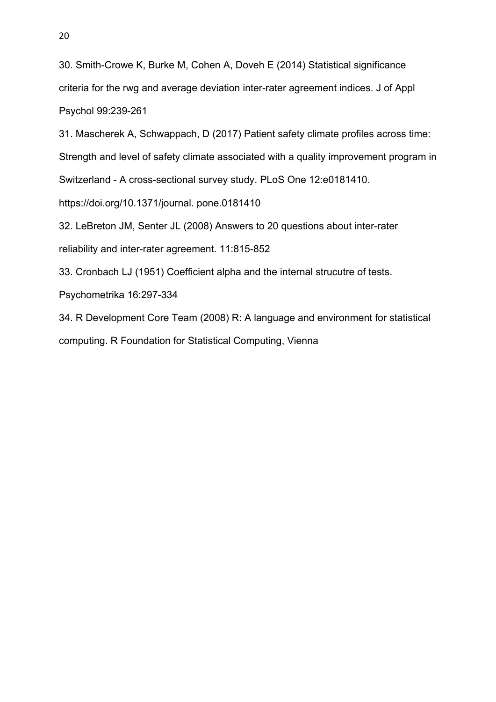30. Smith-Crowe K, Burke M, Cohen A, Doveh E (2014) Statistical significance criteria for the rwg and average deviation inter-rater agreement indices. J of Appl Psychol 99:239-261

31. Mascherek A, Schwappach, D (2017) Patient safety climate profiles across time: Strength and level of safety climate associated with a quality improvement program in Switzerland - A cross-sectional survey study. PLoS One 12:e0181410.

https://doi.org/10.1371/journal. pone.0181410

32. LeBreton JM, Senter JL (2008) Answers to 20 questions about inter-rater

reliability and inter-rater agreement. 11:815-852

33. Cronbach LJ (1951) Coefficient alpha and the internal strucutre of tests.

Psychometrika 16:297-334

34. R Development Core Team (2008) R: A language and environment for statistical computing. R Foundation for Statistical Computing, Vienna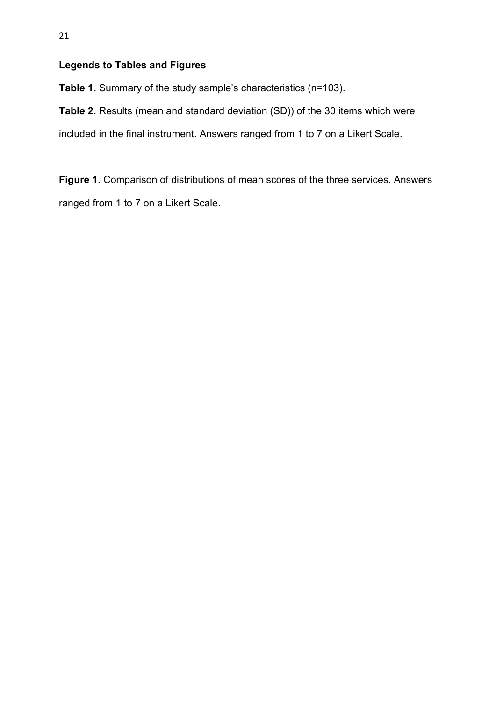# **Legends to Tables and Figures**

**Table 1.** Summary of the study sample's characteristics (n=103).

**Table 2.** Results (mean and standard deviation (SD)) of the 30 items which were

included in the final instrument. Answers ranged from 1 to 7 on a Likert Scale.

**Figure 1.** Comparison of distributions of mean scores of the three services. Answers ranged from 1 to 7 on a Likert Scale.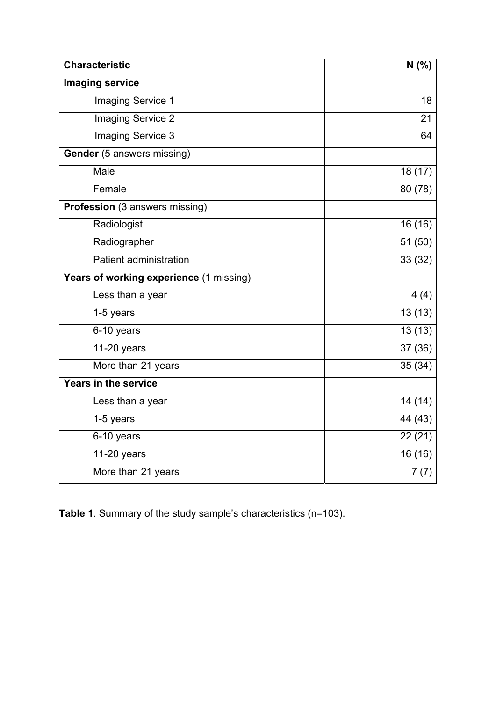| <b>Characteristic</b>                   | N(% )                |
|-----------------------------------------|----------------------|
| <b>Imaging service</b>                  |                      |
| <b>Imaging Service 1</b>                | 18                   |
| <b>Imaging Service 2</b>                | 21                   |
| Imaging Service 3                       | 64                   |
| <b>Gender</b> (5 answers missing)       |                      |
| Male                                    | 18 (17)              |
| Female                                  | 80(78)               |
| <b>Profession</b> (3 answers missing)   |                      |
| Radiologist                             | 16 (16)              |
| Radiographer                            | $\overline{51}$ (50) |
| <b>Patient administration</b>           | 33 (32)              |
| Years of working experience (1 missing) |                      |
| Less than a year                        | 4(4)                 |
| 1-5 years                               | $\overline{13(13)}$  |
| 6-10 years                              | 13(13)               |
| $11-20$ years                           | 37 (36)              |
| More than 21 years                      | 35(34)               |
| <b>Years in the service</b>             |                      |
| Less than a year                        | 14(14)               |
| 1-5 years                               | 44 (43)              |
| 6-10 years                              | 22(21)               |
| 11-20 years                             | 16 (16)              |
| More than 21 years                      | 7 (7)                |

**Table 1**. Summary of the study sample's characteristics (n=103).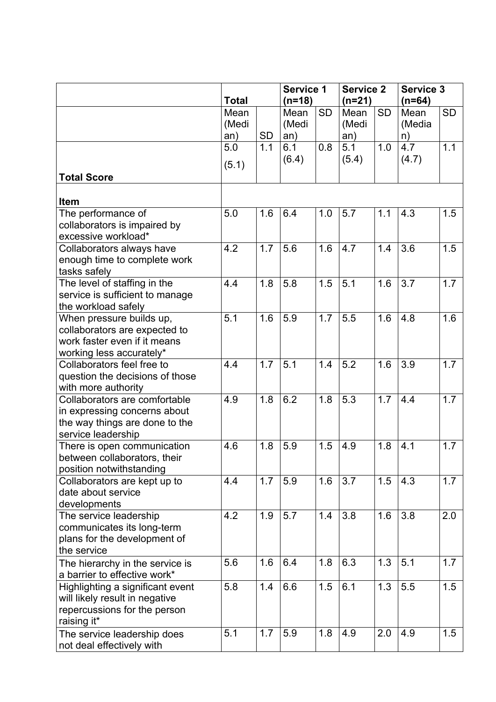| <b>Service 2</b><br><b>Service 1</b>                                              | <b>Service 3</b> |  |  |  |
|-----------------------------------------------------------------------------------|------------------|--|--|--|
| <b>Total</b><br>$(n=18)$<br>$(n=21)$<br>$(n=64)$                                  |                  |  |  |  |
| <b>SD</b><br><b>SD</b><br>Mean<br>Mean<br>Mean<br>Mean                            | <b>SD</b>        |  |  |  |
| (Medi<br>(Medi<br>(Media<br>(Medi                                                 |                  |  |  |  |
| SD<br>an)<br>an)<br>an)<br>n)                                                     |                  |  |  |  |
| 5.1<br>4.7<br>1.1<br>0.8<br>1.0<br>5.0<br>6.1                                     | 1.1              |  |  |  |
| (6.4)<br>(5.4)<br>(4.7)                                                           |                  |  |  |  |
| (5.1)                                                                             |                  |  |  |  |
| <b>Total Score</b>                                                                |                  |  |  |  |
|                                                                                   |                  |  |  |  |
| Item                                                                              |                  |  |  |  |
| The performance of<br>5.0<br>6.4<br>5.7<br>1.6<br>4.3<br>1.0<br>1.1               | 1.5              |  |  |  |
| collaborators is impaired by                                                      |                  |  |  |  |
| excessive workload*                                                               |                  |  |  |  |
| 4.2<br>1.7<br>5.6<br>3.6<br>1.6<br>4.7<br>1.4<br>Collaborators always have        | 1.5              |  |  |  |
| enough time to complete work                                                      |                  |  |  |  |
| tasks safely                                                                      |                  |  |  |  |
| 5.1<br>3.7<br>1.8<br>5.8<br>1.5<br>1.6<br>The level of staffing in the<br>4.4     | 1.7              |  |  |  |
| service is sufficient to manage                                                   |                  |  |  |  |
| the workload safely                                                               |                  |  |  |  |
| 5.5<br>5.1<br>1.6<br>5.9<br>1.7<br>When pressure builds up,<br>1.6<br>4.8         | 1.6              |  |  |  |
| collaborators are expected to                                                     |                  |  |  |  |
| work faster even if it means                                                      |                  |  |  |  |
| working less accurately*                                                          |                  |  |  |  |
| 5.1<br>5.2<br>Collaborators feel free to<br>3.9<br>4.4<br>1.7<br>1.4<br>1.6       | 1.7              |  |  |  |
| question the decisions of those                                                   |                  |  |  |  |
| with more authority                                                               |                  |  |  |  |
| 6.2<br>5.3<br>1.7<br>Collaborators are comfortable<br>4.9<br>1.8<br>1.8<br>4.4    | 1.7              |  |  |  |
| in expressing concerns about                                                      |                  |  |  |  |
| the way things are done to the                                                    |                  |  |  |  |
| service leadership                                                                |                  |  |  |  |
| There is open communication<br>5.9<br>4.1<br>4.6<br>1.8<br>1.5<br>4.9<br>1.8      | 1.7              |  |  |  |
| between collaborators, their                                                      |                  |  |  |  |
| position notwithstanding                                                          |                  |  |  |  |
| 5.9<br>3.7<br>4.3<br>Collaborators are kept up to<br>4.4<br>1.7<br>1.6<br>1.5     | 1.7              |  |  |  |
| date about service                                                                |                  |  |  |  |
| developments                                                                      |                  |  |  |  |
| The service leadership<br>5.7<br>3.8<br>3.8<br>4.2<br>1.9<br>1.4<br>1.6           | 2.0              |  |  |  |
| communicates its long-term                                                        |                  |  |  |  |
| plans for the development of                                                      |                  |  |  |  |
| the service                                                                       |                  |  |  |  |
| 6.3<br>1.3<br>5.1<br>5.6<br>6.4<br>1.8<br>1.6<br>The hierarchy in the service is  | 1.7              |  |  |  |
| a barrier to effective work*                                                      |                  |  |  |  |
| 5.5<br>Highlighting a significant event<br>5.8<br>1.4<br>6.6<br>1.5<br>6.1<br>1.3 | 1.5              |  |  |  |
| will likely result in negative                                                    |                  |  |  |  |
| repercussions for the person                                                      |                  |  |  |  |
| raising it*                                                                       |                  |  |  |  |
| 5.1<br>1.7<br>5.9<br>1.8<br>2.0<br>4.9<br>4.9<br>The service leadership does      | 1.5              |  |  |  |
| not deal effectively with                                                         |                  |  |  |  |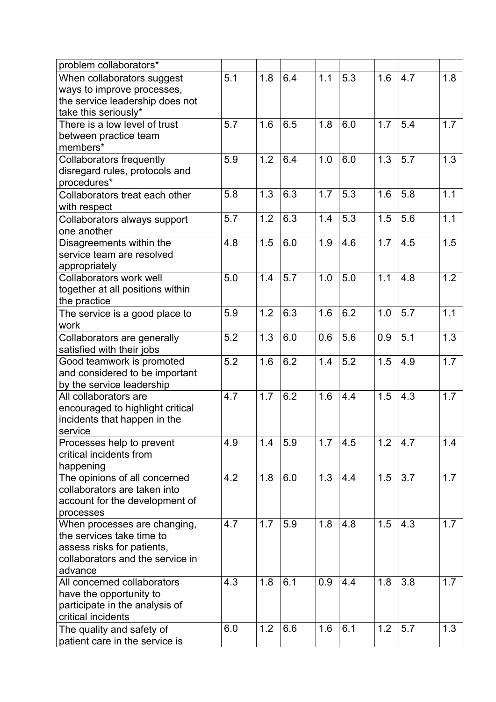| problem collaborators*           |                  |     |     |     |     |     |                  |     |
|----------------------------------|------------------|-----|-----|-----|-----|-----|------------------|-----|
| When collaborators suggest       | $\overline{5.1}$ | 1.8 | 6.4 | 1.1 | 5.3 | 1.6 | 4.7              | 1.8 |
| ways to improve processes,       |                  |     |     |     |     |     |                  |     |
| the service leadership does not  |                  |     |     |     |     |     |                  |     |
| take this seriously*             |                  |     |     |     |     |     |                  |     |
| There is a low level of trust    | 5.7              | 1.6 | 6.5 | 1.8 | 6.0 | 1.7 | 5.4              | 1.7 |
| between practice team            |                  |     |     |     |     |     |                  |     |
| members*                         |                  |     |     |     |     |     |                  |     |
| <b>Collaborators frequently</b>  | 5.9              | 1.2 | 6.4 | 1.0 | 6.0 | 1.3 | $\overline{5.7}$ | 1.3 |
| disregard rules, protocols and   |                  |     |     |     |     |     |                  |     |
| procedures*                      |                  |     |     |     |     |     |                  |     |
| Collaborators treat each other   | 5.8              | 1.3 | 6.3 | 1.7 | 5.3 | 1.6 | 5.8              | 1.1 |
| with respect                     |                  |     |     |     |     |     |                  |     |
|                                  | 5.7              | 1.2 | 6.3 | 1.4 | 5.3 | 1.5 | 5.6              | 1.1 |
| Collaborators always support     |                  |     |     |     |     |     |                  |     |
| one another                      |                  |     |     |     |     |     |                  |     |
| Disagreements within the         | 4.8              | 1.5 | 6.0 | 1.9 | 4.6 | 1.7 | 4.5              | 1.5 |
| service team are resolved        |                  |     |     |     |     |     |                  |     |
| appropriately                    |                  |     |     |     |     |     |                  |     |
| <b>Collaborators work well</b>   | 5.0              | 1.4 | 5.7 | 1.0 | 5.0 | 1.1 | 4.8              | 1.2 |
| together at all positions within |                  |     |     |     |     |     |                  |     |
| the practice                     |                  |     |     |     |     |     |                  |     |
| The service is a good place to   | 5.9              | 1.2 | 6.3 | 1.6 | 6.2 | 1.0 | 5.7              | 1.1 |
| work                             |                  |     |     |     |     |     |                  |     |
| Collaborators are generally      | 5.2              | 1.3 | 6.0 | 0.6 | 5.6 | 0.9 | 5.1              | 1.3 |
| satisfied with their jobs        |                  |     |     |     |     |     |                  |     |
| Good teamwork is promoted        | 5.2              | 1.6 | 6.2 | 1.4 | 5.2 | 1.5 | 4.9              | 1.7 |
| and considered to be important   |                  |     |     |     |     |     |                  |     |
| by the service leadership        |                  |     |     |     |     |     |                  |     |
| All collaborators are            | 4.7              | 1.7 | 6.2 | 1.6 | 4.4 | 1.5 | 4.3              | 1.7 |
| encouraged to highlight critical |                  |     |     |     |     |     |                  |     |
| incidents that happen in the     |                  |     |     |     |     |     |                  |     |
| service                          |                  |     |     |     |     |     |                  |     |
| Processes help to prevent        | 4.9              | 1.4 | 5.9 | 1.7 | 4.5 | 1.2 | 4.7              | 1.4 |
| critical incidents from          |                  |     |     |     |     |     |                  |     |
| happening                        |                  |     |     |     |     |     |                  |     |
| The opinions of all concerned    | 4.2              | 1.8 | 6.0 | 1.3 | 4.4 | 1.5 | 3.7              | 1.7 |
| collaborators are taken into     |                  |     |     |     |     |     |                  |     |
| account for the development of   |                  |     |     |     |     |     |                  |     |
| processes                        |                  |     |     |     |     |     |                  |     |
| When processes are changing,     | 4.7              | 1.7 | 5.9 | 1.8 | 4.8 | 1.5 | 4.3              | 1.7 |
| the services take time to        |                  |     |     |     |     |     |                  |     |
| assess risks for patients,       |                  |     |     |     |     |     |                  |     |
| collaborators and the service in |                  |     |     |     |     |     |                  |     |
| advance                          |                  |     |     |     |     |     |                  |     |
| All concerned collaborators      | 4.3              | 1.8 | 6.1 | 0.9 | 4.4 | 1.8 | 3.8              | 1.7 |
| have the opportunity to          |                  |     |     |     |     |     |                  |     |
| participate in the analysis of   |                  |     |     |     |     |     |                  |     |
| critical incidents               |                  |     |     |     |     |     |                  |     |
|                                  |                  | 1.2 |     |     | 6.1 |     |                  |     |
| The quality and safety of        | 6.0              |     | 6.6 | 1.6 |     | 1.2 | 5.7              | 1.3 |
| patient care in the service is   |                  |     |     |     |     |     |                  |     |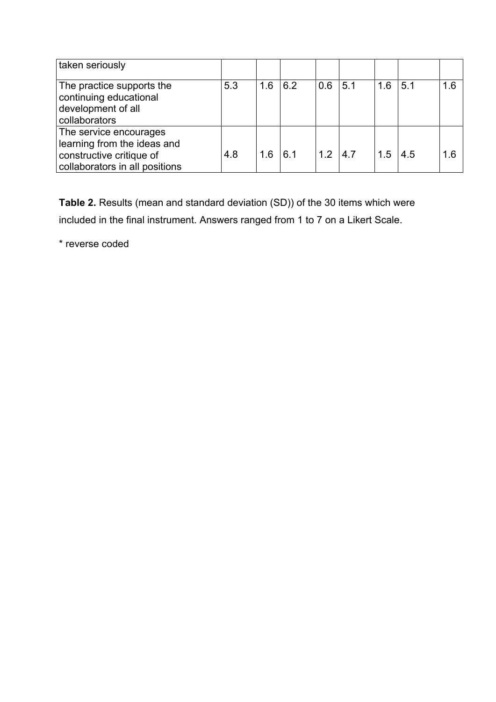| taken seriously                                                                                                     |     |     |     |     |     |     |     |     |
|---------------------------------------------------------------------------------------------------------------------|-----|-----|-----|-----|-----|-----|-----|-----|
| The practice supports the<br>continuing educational<br>development of all<br>collaborators                          | 5.3 | 1.6 | 6.2 | 0.6 | 5.1 | 1.6 | 5.1 | 1.6 |
| The service encourages<br>learning from the ideas and<br>constructive critique of<br>collaborators in all positions | 4.8 | 1.6 | 6.1 | 1.2 | 4.7 | 1.5 | 4.5 | 1 6 |

**Table 2.** Results (mean and standard deviation (SD)) of the 30 items which were included in the final instrument. Answers ranged from 1 to 7 on a Likert Scale.

\* reverse coded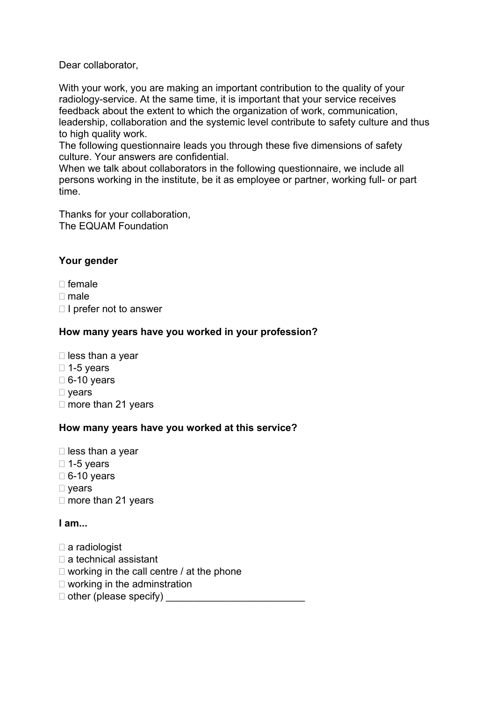Dear collaborator,

With your work, you are making an important contribution to the quality of your radiology-service. At the same time, it is important that your service receives feedback about the extent to which the organization of work, communication, leadership, collaboration and the systemic level contribute to safety culture and thus to high quality work.

The following questionnaire leads you through these five dimensions of safety culture. Your answers are confidential.

When we talk about collaborators in the following questionnaire, we include all persons working in the institute, be it as employee or partner, working full- or part time.

Thanks for your collaboration, The EQUAM Foundation

# **Your gender**

- $\Box$  female
- $\Box$  male
- $\Box$  I prefer not to answer

# **How many years have you worked in your profession?**

 $\square$  less than a vear  $\Box$  1-5 years  $\Box$  6-10 years  $\square$  years  $\Box$  more than 21 years

# **How many years have you worked at this service?**

- $\Box$  less than a year  $\Box$  1-5 years  $\Box$  6-10 years
- $\square$  vears
- $\Box$  more than 21 years

# **I am...**

- a radiologist
- a technical assistant
- $\Box$  working in the call centre / at the phone
- $\Box$  working in the adminstration
- $\Box$  other (please specify)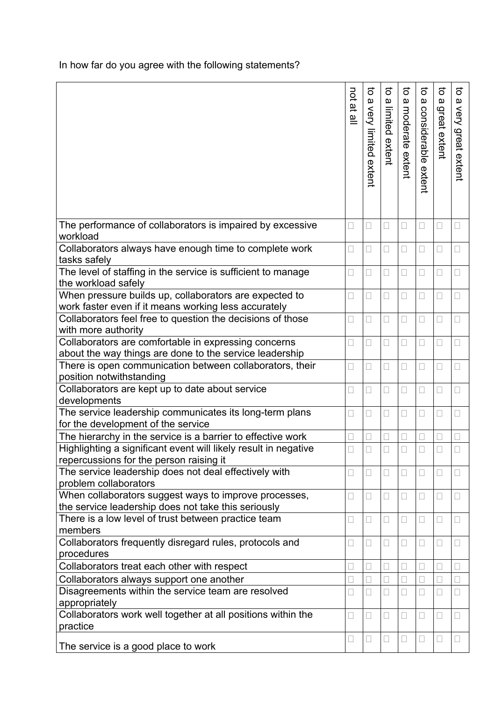In how far do you agree with the following statements?

|                                                                                                                                           | not<br>at all            | ಕ<br>$\pmb{\omega}$<br>very limited<br>extent | ಕ<br>$\pmb{\omega}$<br>limited<br>extent | ៊<br>$\boldsymbol{\omega}$<br>moderate extent | $\vec{o}$<br>$\pmb{\omega}$<br>considerable<br>extent | $\vec{\circ}$<br>മ<br>great extent | ಕ<br>Ω<br>very<br><b>great</b><br>extent |
|-------------------------------------------------------------------------------------------------------------------------------------------|--------------------------|-----------------------------------------------|------------------------------------------|-----------------------------------------------|-------------------------------------------------------|------------------------------------|------------------------------------------|
| The performance of collaborators is impaired by excessive<br>workload                                                                     | $\overline{\phantom{a}}$ | $\Box$                                        | ⊔                                        | П                                             | $\Box$                                                | $\Box$                             |                                          |
| Collaborators always have enough time to complete work<br>tasks safely                                                                    |                          | □                                             | н                                        | □                                             | П                                                     | □                                  |                                          |
| The level of staffing in the service is sufficient to manage<br>the workload safely                                                       | $\overline{\phantom{a}}$ | П                                             | $\Box$                                   | $\Box$                                        | П                                                     | u                                  | П                                        |
| When pressure builds up, collaborators are expected to<br>work faster even if it means working less accurately                            | П                        | $\Box$                                        | $\Box$                                   | □                                             | $\Box$                                                | $\Box$                             | $\Box$                                   |
| Collaborators feel free to question the decisions of those<br>with more authority<br>Collaborators are comfortable in expressing concerns |                          | L                                             | $\Box$                                   | L                                             | ⊔                                                     | □                                  | $\Box$                                   |
| about the way things are done to the service leadership<br>There is open communication between collaborators, their                       | Ш<br>П                   | П<br>$\Box$                                   | ⊔                                        | $\Box$<br>П                                   | П<br>$\Box$                                           | u<br>$\Box$                        | $\mathbf{L}$<br>$\Box$                   |
| position notwithstanding<br>Collaborators are kept up to date about service                                                               | $\overline{\phantom{a}}$ | $\Box$                                        | □<br>⊔                                   | L                                             | $\overline{\phantom{a}}$                              | □                                  | $\Box$                                   |
| developments<br>The service leadership communicates its long-term plans                                                                   | $\overline{\phantom{a}}$ | П                                             | L                                        | L                                             | $\Box$                                                | □                                  |                                          |
| for the development of the service<br>The hierarchy in the service is a barrier to effective work                                         |                          |                                               |                                          |                                               |                                                       |                                    |                                          |
| Highlighting a significant event will likely result in negative<br>repercussions for the person raising it                                |                          |                                               |                                          |                                               |                                                       |                                    |                                          |
| The service leadership does not deal effectively with<br>problem collaborators                                                            | $\overline{\phantom{a}}$ | П                                             | $\mathbf{L}$                             | u                                             | $\Box$                                                | u                                  |                                          |
| When collaborators suggest ways to improve processes,<br>the service leadership does not take this seriously                              | П                        | $\Box$                                        | $\Box$                                   | П                                             | $\Box$                                                | $\Box$                             | $\Box$                                   |
| There is a low level of trust between practice team<br>members                                                                            | Ш                        | □                                             | ⊔                                        | L                                             | Ц                                                     | Ц                                  | ⊔                                        |
| Collaborators frequently disregard rules, protocols and<br>procedures                                                                     |                          | П                                             | н                                        | L                                             | $\Box$                                                | $\Box$                             |                                          |
| Collaborators treat each other with respect                                                                                               |                          | П                                             | $\mathbf{L}$                             | П                                             | $\mathbf{L}$                                          | $\vert \ \ \vert$                  | П                                        |
| Collaborators always support one another<br>Disagreements within the service team are resolved                                            | Ш                        | П                                             | $\vert \ \ \vert$                        | П<br>$\vert \ \ \vert$                        | $\overline{\phantom{a}}$<br>П                         | $\mathbf{L}$                       | □                                        |
| appropriately<br>Collaborators work well together at all positions within the<br>practice                                                 | $\Box$                   | $\Box$                                        | ⊔                                        | L                                             | П                                                     | Ш                                  | $\Box$                                   |
| The service is a good place to work                                                                                                       | $\Box$                   | $\Box$                                        | □                                        | $\Box$                                        | $\Box$                                                | $\Box$                             | $\Box$                                   |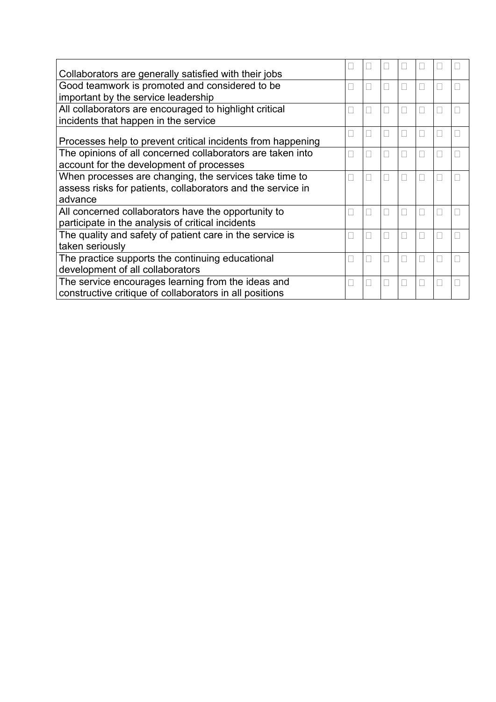| Collaborators are generally satisfied with their jobs       |   |  |  |  |
|-------------------------------------------------------------|---|--|--|--|
| Good teamwork is promoted and considered to be              | L |  |  |  |
| important by the service leadership                         |   |  |  |  |
| All collaborators are encouraged to highlight critical      |   |  |  |  |
| incidents that happen in the service                        |   |  |  |  |
|                                                             |   |  |  |  |
| Processes help to prevent critical incidents from happening |   |  |  |  |
| The opinions of all concerned collaborators are taken into  |   |  |  |  |
| account for the development of processes                    |   |  |  |  |
| When processes are changing, the services take time to      |   |  |  |  |
| assess risks for patients, collaborators and the service in |   |  |  |  |
| advance                                                     |   |  |  |  |
| All concerned collaborators have the opportunity to         |   |  |  |  |
| participate in the analysis of critical incidents           |   |  |  |  |
| The quality and safety of patient care in the service is    |   |  |  |  |
| taken seriously                                             |   |  |  |  |
| The practice supports the continuing educational            |   |  |  |  |
| development of all collaborators                            |   |  |  |  |
| The service encourages learning from the ideas and          |   |  |  |  |
| constructive critique of collaborators in all positions     |   |  |  |  |